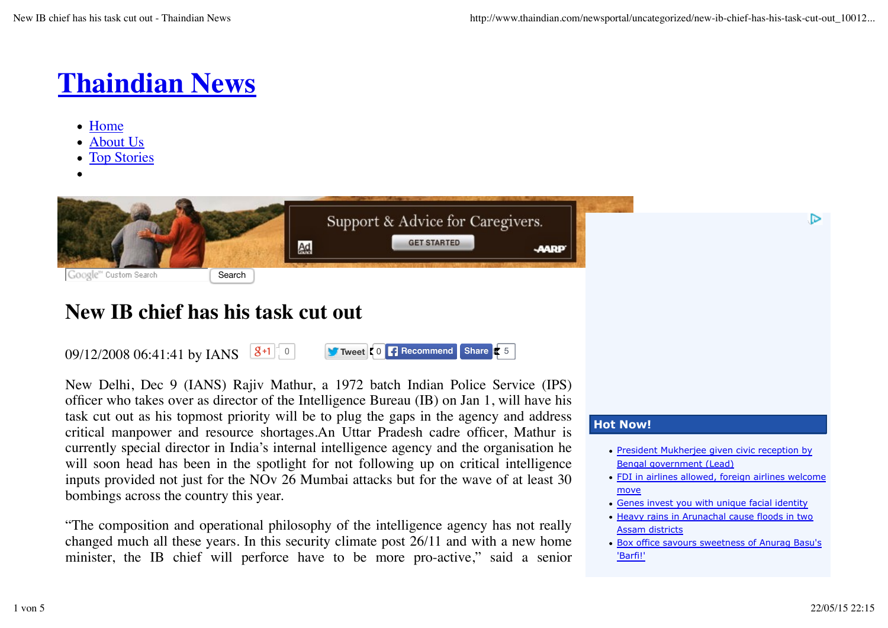# **Thaindian News**

- Home
- About Us
- Top Stories



# **New IB chief has his task cut out**

 $09/12/200806:41:41$  by IANS  $8+1$ <sup>to</sup> **Recommend Share 5 Recommend Share 5** 

New Delhi, Dec 9 (IANS) Rajiv Mathur, a 1972 batch Indian Police Service (IPS) officer who takes over as director of the Intelligence Bureau (IB) on Jan 1, will have his task cut out as his topmost priority will be to plug the gaps in the agency and address critical manpower and resource shortages.An Uttar Pradesh cadre officer, Mathur is currently special director in India's internal intelligence agency and the organisation he will soon head has been in the spotlight for not following up on critical intelligence inputs provided not just for the NOv 26 Mumbai attacks but for the wave of at least 30 bombings across the country this year.

"The composition and operational philosophy of the intelligence agency has not really changed much all these years. In this security climate post 26/11 and with a new home minister, the IB chief will perforce have to be more pro-active," said a senior

## **Hot Now!**

- President Mukherjee given civic reception by Bengal government (Lead)
- FDI in airlines allowed, foreign airlines welcome move
- Genes invest you with unique facial identity
- Heavy rains in Arunachal cause floods in two Assam districts
- Box office savours sweetness of Anurag Basu's 'Barfi!'

D